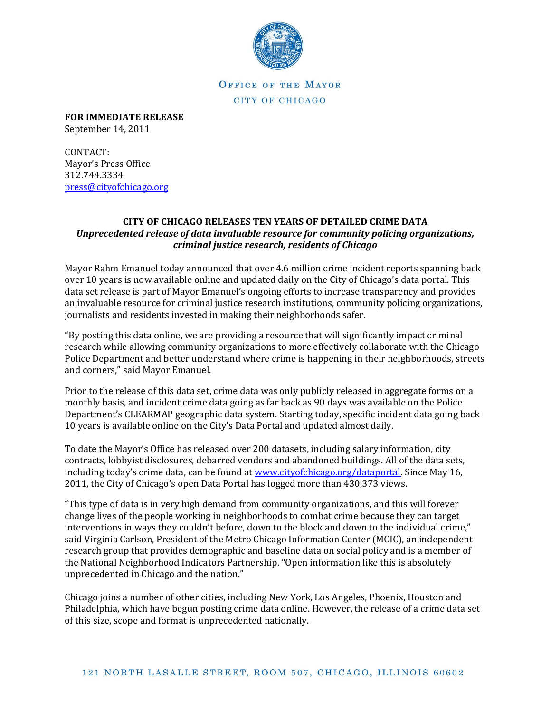

OFFICE OF THE MAYOR CITY OF CHICAGO

**FOR IMMEDIATE RELEASE** September 14, 2011

CONTACT: Mayor's Press Office 312.744.3334 [press@cityofchicago.org](mailto:press@cityofchicago.org)

## **CITY OF CHICAGO RELEASES TEN YEARS OF DETAILED CRIME DATA** *Unprecedented release of data invaluable resource for community policing organizations, criminal justice research, residents of Chicago*

Mayor Rahm Emanuel today announced that over 4.6 million crime incident reports spanning back over 10 years is now available online and updated daily on the City of Chicago's data portal. This data set release is part of Mayor Emanuel's ongoing efforts to increase transparency and provides an invaluable resource for criminal justice research institutions, community policing organizations, journalists and residents invested in making their neighborhoods safer.

"By posting this data online, we are providing a resource that will significantly impact criminal research while allowing community organizations to more effectively collaborate with the Chicago Police Department and better understand where crime is happening in their neighborhoods, streets and corners," said Mayor Emanuel.

Prior to the release of this data set, crime data was only publicly released in aggregate forms on a monthly basis, and incident crime data going as far back as 90 days was available on the Police Department's CLEARMAP geographic data system. Starting today, specific incident data going back 10 years is available online on the City's Data Portal and updated almost daily.

To date the Mayor's Office has released over 200 datasets, including salary information, city contracts, lobbyist disclosures, debarred vendors and abandoned buildings. All of the data sets, including today's crime data, can be found at [www.cityofchicago.org/dataportal.](http://www.cityofchicago.org/dataportal) Since May 16, 2011, the City of Chicago's open Data Portal has logged more than 430,373 views.

"This type of data is in very high demand from community organizations, and this will forever change lives of the people working in neighborhoods to combat crime because they can target interventions in ways they couldn't before, down to the block and down to the individual crime," said Virginia Carlson, President of the Metro Chicago Information Center (MCIC), an independent research group that provides demographic and baseline data on social policy and is a member of the National Neighborhood Indicators Partnership. "Open information like this is absolutely unprecedented in Chicago and the nation."

Chicago joins a number of other cities, including New York, Los Angeles, Phoenix, Houston and Philadelphia, which have begun posting crime data online. However, the release of a crime data set of this size, scope and format is unprecedented nationally.